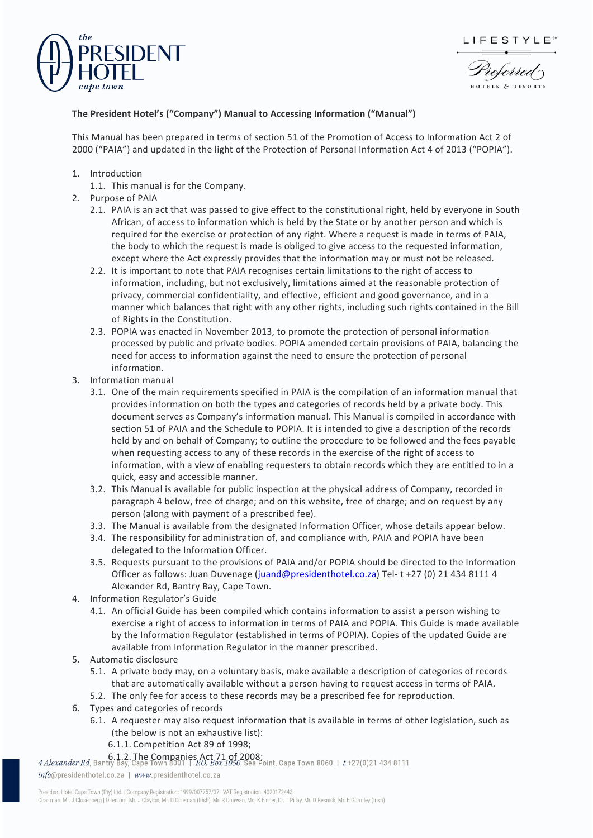



derred

## **The President Hotel's ("Company") Manual to Accessing Information ("Manual")**

This Manual has been prepared in terms of section 51 of the Promotion of Access to Information Act 2 of 2000 ("PAIA") and updated in the light of the Protection of Personal Information Act 4 of 2013 ("POPIA").

- 1. Introduction
	- 1.1. This manual is for the Company.
- 2. Purpose of PAIA
	- 2.1. PAIA is an act that was passed to give effect to the constitutional right, held by everyone in South African, of access to information which is held by the State or by another person and which is required for the exercise or protection of any right. Where a request is made in terms of PAIA, the body to which the request is made is obliged to give access to the requested information, except where the Act expressly provides that the information may or must not be released.
	- 2.2. It is important to note that PAIA recognises certain limitations to the right of access to information, including, but not exclusively, limitations aimed at the reasonable protection of privacy, commercial confidentiality, and effective, efficient and good governance, and in a manner which balances that right with any other rights, including such rights contained in the Bill of Rights in the Constitution.
	- 2.3. POPIA was enacted in November 2013, to promote the protection of personal information processed by public and private bodies. POPIA amended certain provisions of PAIA, balancing the need for access to information against the need to ensure the protection of personal information.
- 3. Information manual
	- 3.1. One of the main requirements specified in PAIA is the compilation of an information manual that provides information on both the types and categories of records held by a private body. This document serves as Company's information manual. This Manual is compiled in accordance with section 51 of PAIA and the Schedule to POPIA. It is intended to give a description of the records held by and on behalf of Company; to outline the procedure to be followed and the fees payable when requesting access to any of these records in the exercise of the right of access to information, with a view of enabling requesters to obtain records which they are entitled to in a quick, easy and accessible manner.
	- 3.2. This Manual is available for public inspection at the physical address of Company, recorded in paragraph 4 below, free of charge; and on this website, free of charge; and on request by any person (along with payment of a prescribed fee).
	- 3.3. The Manual is available from the designated Information Officer, whose details appear below.
	- 3.4. The responsibility for administration of, and compliance with, PAIA and POPIA have been delegated to the Information Officer.
	- 3.5. Requests pursuant to the provisions of PAIA and/or POPIA should be directed to the Information Officer as follows: Juan Duvenage (juand@presidenthotel.co.za) Tel- t +27 (0) 21 434 8111 4 Alexander Rd, Bantry Bay, Cape Town.
- 4. Information Regulator's Guide
	- 4.1. An official Guide has been compiled which contains information to assist a person wishing to exercise a right of access to information in terms of PAIA and POPIA. This Guide is made available by the Information Regulator (established in terms of POPIA). Copies of the updated Guide are available from Information Regulator in the manner prescribed.
- 5. Automatic disclosure
	- 5.1. A private body may, on a voluntary basis, make available a description of categories of records that are automatically available without a person having to request access in terms of PAIA.
	- 5.2. The only fee for access to these records may be a prescribed fee for reproduction.
- 6. Types and categories of records
	- 6.1. A requester may also request information that is available in terms of other legislation, such as (the below is not an exhaustive list):
		- 6.1.1. Competition Act 89 of 1998;

4 Alexander Rd, Bantry Bay, Cape Town 8001 | P.O. Box 1050, Sea Point, Cape Town 8060 | t+27(0)21 434 8111

info@presidenthotel.co.za | www.presidenthotel.co.za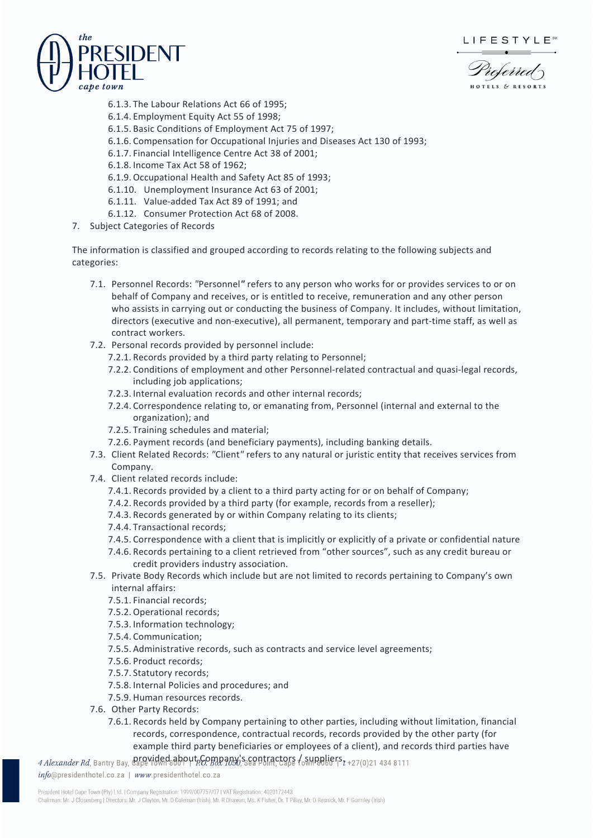LIFESTYLE<sup>®</sup>





- 6.1.3. The Labour Relations Act 66 of 1995;
- 6.1.4. Employment Equity Act 55 of 1998;
- 6.1.5. Basic Conditions of Employment Act 75 of 1997;
- 6.1.6. Compensation for Occupational Injuries and Diseases Act 130 of 1993;
- 6.1.7. Financial Intelligence Centre Act 38 of 2001;
- 6.1.8. Income Tax Act 58 of 1962;
- 6.1.9.Occupational Health and Safety Act 85 of 1993;
- 6.1.10. Unemployment Insurance Act 63 of 2001;
- 6.1.11. Value-added Tax Act 89 of 1991; and
- 6.1.12. Consumer Protection Act 68 of 2008.
- 7. Subject Categories of Records

The information is classified and grouped according to records relating to the following subjects and categories:

- 7.1. Personnel Records: *"*Personnel*"* refers to any person who works for or provides services to or on behalf of Company and receives, or is entitled to receive, remuneration and any other person who assists in carrying out or conducting the business of Company. It includes, without limitation, directors (executive and non-executive), all permanent, temporary and part-time staff, as well as contract workers.
- 7.2. Personal records provided by personnel include:
	- 7.2.1. Records provided by a third party relating to Personnel;
	- 7.2.2. Conditions of employment and other Personnel-related contractual and quasi-legal records, including job applications;
	- 7.2.3. Internal evaluation records and other internal records;
	- 7.2.4. Correspondence relating to, or emanating from, Personnel (internal and external to the organization); and
	- 7.2.5. Training schedules and material;
	- 7.2.6. Payment records (and beneficiary payments), including banking details.
- 7.3. Client Related Records: *"*Client*"* refers to any natural or juristic entity that receives services from Company.
- 7.4. Client related records include:
	- 7.4.1. Records provided by a client to a third party acting for or on behalf of Company;
	- 7.4.2. Records provided by a third party (for example, records from a reseller);
	- 7.4.3. Records generated by or within Company relating to its clients;
	- 7.4.4. Transactional records;
	- 7.4.5. Correspondence with a client that is implicitly or explicitly of a private or confidential nature
	- 7.4.6. Records pertaining to a client retrieved from "other sources", such as any credit bureau or credit providers industry association.
- 7.5. Private Body Records which include but are not limited to records pertaining to Company's own internal affairs:
	- 7.5.1. Financial records;
	- 7.5.2.Operational records;
	- 7.5.3. Information technology;
	- 7.5.4. Communication;
	- 7.5.5. Administrative records, such as contracts and service level agreements;
	- 7.5.6. Product records;
	- 7.5.7. Statutory records;
	- 7.5.8. Internal Policies and procedures; and
	- 7.5.9. Human resources records.
- 7.6. Other Party Records:
	- 7.6.1. Records held by Company pertaining to other parties, including without limitation, financial records, correspondence, contractual records, records provided by the other party (for example third party beneficiaries or employees of a client), and records third parties have

 $\frac{4 \text{ Alexander } Rd}$ , Bantry Bay, Cape Town 800 ptp. Company's contractors  $\frac{1}{6}$  suppliers  $\frac{1}{2}$  +27(0)21 434 8111

info@presidenthotel.co.za | www.presidenthotel.co.za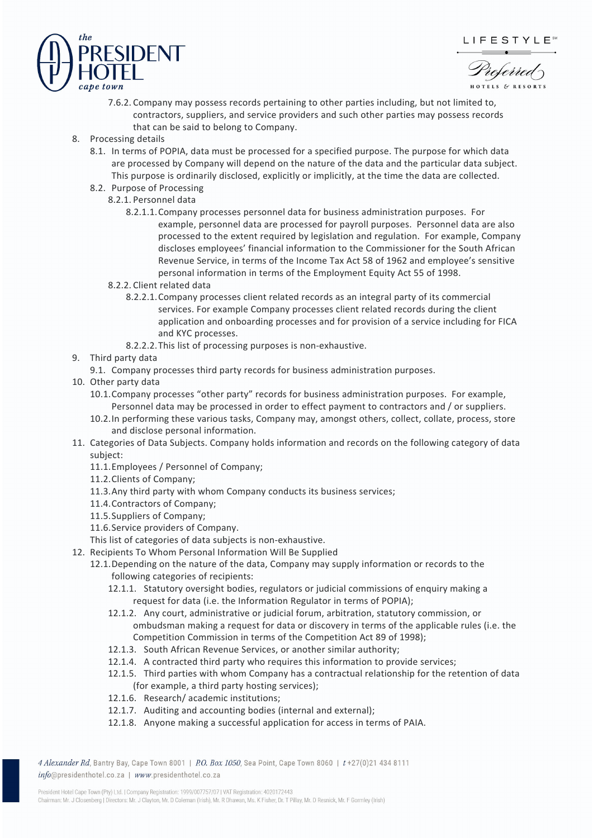





- 7.6.2. Company may possess records pertaining to other parties including, but not limited to, contractors, suppliers, and service providers and such other parties may possess records that can be said to belong to Company.
- 8. Processing details
	- 8.1. In terms of POPIA, data must be processed for a specified purpose. The purpose for which data are processed by Company will depend on the nature of the data and the particular data subject. This purpose is ordinarily disclosed, explicitly or implicitly, at the time the data are collected.
	- 8.2. Purpose of Processing
		- 8.2.1. Personnel data
			- 8.2.1.1.Company processes personnel data for business administration purposes. For example, personnel data are processed for payroll purposes. Personnel data are also processed to the extent required by legislation and regulation. For example, Company discloses employees' financial information to the Commissioner for the South African Revenue Service, in terms of the Income Tax Act 58 of 1962 and employee's sensitive personal information in terms of the Employment Equity Act 55 of 1998.
		- 8.2.2. Client related data
			- 8.2.2.1.Company processes client related records as an integral party of its commercial services. For example Company processes client related records during the client application and onboarding processes and for provision of a service including for FICA and KYC processes.
		- 8.2.2.2.This list of processing purposes is non-exhaustive.
- 9. Third party data
	- 9.1. Company processes third party records for business administration purposes.
- 10. Other party data
	- 10.1.Company processes "other party" records for business administration purposes. For example, Personnel data may be processed in order to effect payment to contractors and / or suppliers.
	- 10.2.In performing these various tasks, Company may, amongst others, collect, collate, process, store and disclose personal information.
- 11. Categories of Data Subjects. Company holds information and records on the following category of data subject:
	- 11.1.Employees / Personnel of Company;
	- 11.2.Clients of Company;
	- 11.3.Any third party with whom Company conducts its business services;
	- 11.4.Contractors of Company;
	- 11.5.Suppliers of Company;
	- 11.6.Service providers of Company.
	- This list of categories of data subjects is non-exhaustive.
- 12. Recipients To Whom Personal Information Will Be Supplied
	- 12.1.Depending on the nature of the data, Company may supply information or records to the following categories of recipients:
		- 12.1.1. Statutory oversight bodies, regulators or judicial commissions of enquiry making a request for data (i.e. the Information Regulator in terms of POPIA);
		- 12.1.2. Any court, administrative or judicial forum, arbitration, statutory commission, or ombudsman making a request for data or discovery in terms of the applicable rules (i.e. the Competition Commission in terms of the Competition Act 89 of 1998);
		- 12.1.3. South African Revenue Services, or another similar authority;
		- 12.1.4. A contracted third party who requires this information to provide services;
		- 12.1.5. Third parties with whom Company has a contractual relationship for the retention of data (for example, a third party hosting services);
		- 12.1.6. Research/ academic institutions;
		- 12.1.7. Auditing and accounting bodies (internal and external);
		- 12.1.8. Anyone making a successful application for access in terms of PAIA.

4 Alexander Rd, Bantry Bay, Cape Town 8001 | P.O. Box 1050, Sea Point, Cape Town 8060 | t+27(0)21 434 8111 info@presidenthotel.co.za | www.presidenthotel.co.za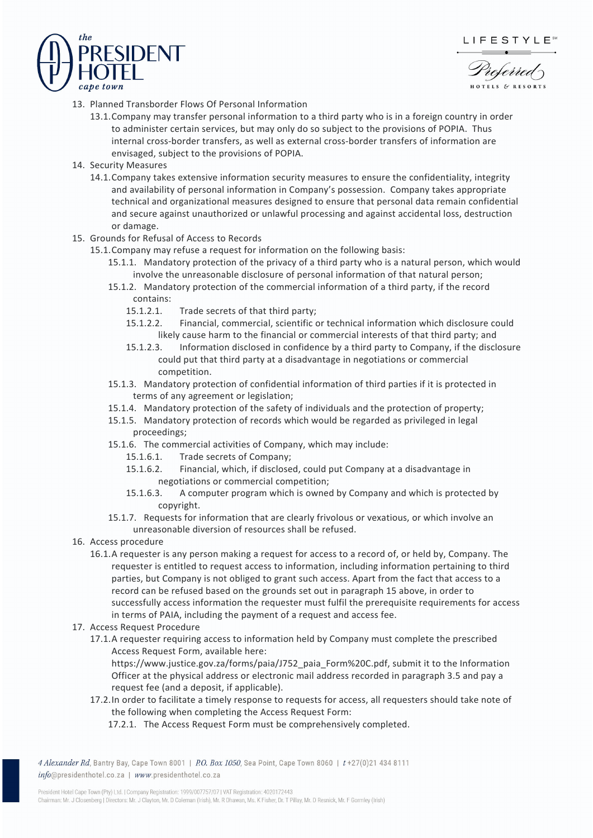

referred



- 13. Planned Transborder Flows Of Personal Information
	- 13.1.Company may transfer personal information to a third party who is in a foreign country in order to administer certain services, but may only do so subject to the provisions of POPIA. Thus internal cross-border transfers, as well as external cross-border transfers of information are envisaged, subject to the provisions of POPIA.
- 14. Security Measures
	- 14.1.Company takes extensive information security measures to ensure the confidentiality, integrity and availability of personal information in Company's possession. Company takes appropriate technical and organizational measures designed to ensure that personal data remain confidential and secure against unauthorized or unlawful processing and against accidental loss, destruction or damage.
- 15. Grounds for Refusal of Access to Records
	- 15.1.Company may refuse a request for information on the following basis:
		- 15.1.1. Mandatory protection of the privacy of a third party who is a natural person, which would involve the unreasonable disclosure of personal information of that natural person;
		- 15.1.2. Mandatory protection of the commercial information of a third party, if the record contains:
			- 15.1.2.1. Trade secrets of that third party;
			- 15.1.2.2. Financial, commercial, scientific or technical information which disclosure could likely cause harm to the financial or commercial interests of that third party; and
			- 15.1.2.3. Information disclosed in confidence by a third party to Company, if the disclosure could put that third party at a disadvantage in negotiations or commercial competition.
		- 15.1.3. Mandatory protection of confidential information of third parties if it is protected in terms of any agreement or legislation;
		- 15.1.4. Mandatory protection of the safety of individuals and the protection of property;
		- 15.1.5. Mandatory protection of records which would be regarded as privileged in legal proceedings;
		- 15.1.6. The commercial activities of Company, which may include:
			- 15.1.6.1. Trade secrets of Company;
			- 15.1.6.2. Financial, which, if disclosed, could put Company at a disadvantage in negotiations or commercial competition;
			- 15.1.6.3. A computer program which is owned by Company and which is protected by copyright.
		- 15.1.7. Requests for information that are clearly frivolous or vexatious, or which involve an unreasonable diversion of resources shall be refused.
- 16. Access procedure
	- 16.1.A requester is any person making a request for access to a record of, or held by, Company. The requester is entitled to request access to information, including information pertaining to third parties, but Company is not obliged to grant such access. Apart from the fact that access to a record can be refused based on the grounds set out in paragraph 15 above, in order to successfully access information the requester must fulfil the prerequisite requirements for access in terms of PAIA, including the payment of a request and access fee.
- 17. Access Request Procedure
	- 17.1.A requester requiring access to information held by Company must complete the prescribed Access Request Form, available here:
		- https://www.justice.gov.za/forms/paia/J752\_paia\_Form%20C.pdf, submit it to the Information Officer at the physical address or electronic mail address recorded in paragraph 3.5 and pay a request fee (and a deposit, if applicable).
		- 17.2.In order to facilitate a timely response to requests for access, all requesters should take note of the following when completing the Access Request Form:
			- 17.2.1. The Access Request Form must be comprehensively completed.

4 Alexander Rd, Bantry Bay, Cape Town 8001 | P.O. Box 1050, Sea Point, Cape Town 8060 | t+27(0)21 434 8111 info@presidenthotel.co.za | www.presidenthotel.co.za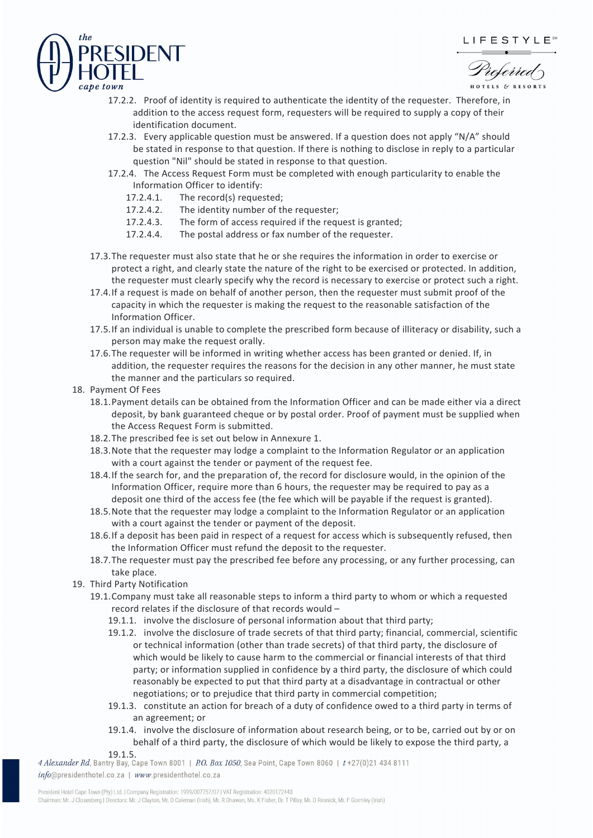# LIFESTYLE<sup>®</sup>



referred

- 17.2.2. Proof of identity is required to authenticate the identity of the requester. Therefore, in addition to the access request form, requesters will be required to supply a copy of their identification document.
- 17.2.3. Every applicable question must be answered. If a question does not apply "N/A" should be stated in response to that question. If there is nothing to disclose in reply to a particular question "Nil" should be stated in response to that question.
- 17.2.4. The Access Request Form must be completed with enough particularity to enable the Information Officer to identify:
	- 17.2.4.1. The record(s) requested;
	- 17.2.4.2. The identity number of the requester;
	- 17.2.4.3. The form of access required if the request is granted;
	- 17.2.4.4. The postal address or fax number of the requester.
- 17.3.The requester must also state that he or she requires the information in order to exercise or protect a right, and clearly state the nature of the right to be exercised or protected. In addition, the requester must clearly specify why the record is necessary to exercise or protect such a right.
- 17.4.If a request is made on behalf of another person, then the requester must submit proof of the capacity in which the requester is making the request to the reasonable satisfaction of the Information Officer.
- 17.5.If an individual is unable to complete the prescribed form because of illiteracy or disability, such a person may make the request orally.
- 17.6.The requester will be informed in writing whether access has been granted or denied. If, in addition, the requester requires the reasons for the decision in any other manner, he must state the manner and the particulars so required.
- 18. Payment Of Fees
	- 18.1.Payment details can be obtained from the Information Officer and can be made either via a direct deposit, by bank guaranteed cheque or by postal order. Proof of payment must be supplied when the Access Request Form is submitted.
	- 18.2.The prescribed fee is set out below in Annexure 1.
	- 18.3.Note that the requester may lodge a complaint to the Information Regulator or an application with a court against the tender or payment of the request fee.
	- 18.4.If the search for, and the preparation of, the record for disclosure would, in the opinion of the Information Officer, require more than 6 hours, the requester may be required to pay as a deposit one third of the access fee (the fee which will be payable if the request is granted).
	- 18.5.Note that the requester may lodge a complaint to the Information Regulator or an application with a court against the tender or payment of the deposit.
	- 18.6.If a deposit has been paid in respect of a request for access which is subsequently refused, then the Information Officer must refund the deposit to the requester.
	- 18.7.The requester must pay the prescribed fee before any processing, or any further processing, can take place.
- 19. Third Party Notification
	- 19.1.Company must take all reasonable steps to inform a third party to whom or which a requested record relates if the disclosure of that records would –
		- 19.1.1. involve the disclosure of personal information about that third party;
		- 19.1.2. involve the disclosure of trade secrets of that third party; financial, commercial, scientific or technical information (other than trade secrets) of that third party, the disclosure of which would be likely to cause harm to the commercial or financial interests of that third party; or information supplied in confidence by a third party, the disclosure of which could reasonably be expected to put that third party at a disadvantage in contractual or other negotiations; or to prejudice that third party in commercial competition;
		- 19.1.3. constitute an action for breach of a duty of confidence owed to a third party in terms of an agreement; or
		- 19.1.4. involve the disclosure of information about research being, or to be, carried out by or on behalf of a third party, the disclosure of which would be likely to expose the third party, a

19.1.5.<br>111 *4 Alexander Rd*, Bantry Bay, Cape Town 8001 | *P.O. Box 1050*, Sea Point, Cape Town 8060 | *t*+27(0)21 434 8111 info@presidenthotel.co.za | www.presidenthotel.co.za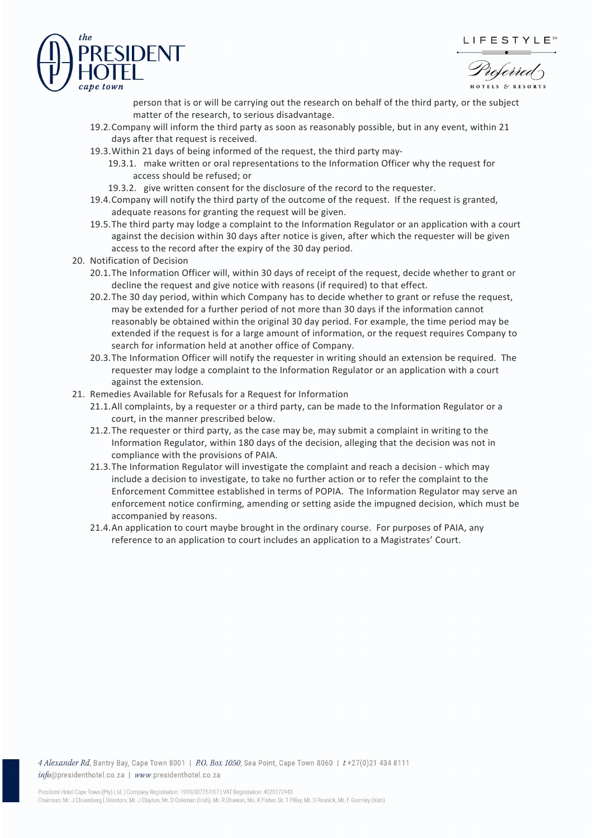## LIFESTYLE<sup>®</sup>



referred

person that is or will be carrying out the research on behalf of the third party, or the subject matter of the research, to serious disadvantage.

- 19.2.Company will inform the third party as soon as reasonably possible, but in any event, within 21 days after that request is received.
- 19.3.Within 21 days of being informed of the request, the third party may-
	- 19.3.1. make written or oral representations to the Information Officer why the request for access should be refused; or
	- 19.3.2. give written consent for the disclosure of the record to the requester.
- 19.4.Company will notify the third party of the outcome of the request. If the request is granted, adequate reasons for granting the request will be given.
- 19.5.The third party may lodge a complaint to the Information Regulator or an application with a court against the decision within 30 days after notice is given, after which the requester will be given access to the record after the expiry of the 30 day period.
- 20. Notification of Decision
	- 20.1.The Information Officer will, within 30 days of receipt of the request, decide whether to grant or decline the request and give notice with reasons (if required) to that effect.
	- 20.2.The 30 day period, within which Company has to decide whether to grant or refuse the request, may be extended for a further period of not more than 30 days if the information cannot reasonably be obtained within the original 30 day period. For example, the time period may be extended if the request is for a large amount of information, or the request requires Company to search for information held at another office of Company.
	- 20.3.The Information Officer will notify the requester in writing should an extension be required. The requester may lodge a complaint to the Information Regulator or an application with a court against the extension.
- 21. Remedies Available for Refusals for a Request for Information
	- 21.1.All complaints, by a requester or a third party, can be made to the Information Regulator or a court, in the manner prescribed below.
	- 21.2.The requester or third party, as the case may be, may submit a complaint in writing to the Information Regulator, within 180 days of the decision, alleging that the decision was not in compliance with the provisions of PAIA.
	- 21.3.The Information Regulator will investigate the complaint and reach a decision which may include a decision to investigate, to take no further action or to refer the complaint to the Enforcement Committee established in terms of POPIA. The Information Regulator may serve an enforcement notice confirming, amending or setting aside the impugned decision, which must be accompanied by reasons.
	- 21.4.An application to court maybe brought in the ordinary course. For purposes of PAIA, any reference to an application to court includes an application to a Magistrates' Court.

4 Alexander Rd, Bantry Bay, Cape Town 8001 | P.O. Box 1050, Sea Point, Cape Town 8060 | t +27(0)21 434 8111 info@presidenthotel.co.za | www.presidenthotel.co.za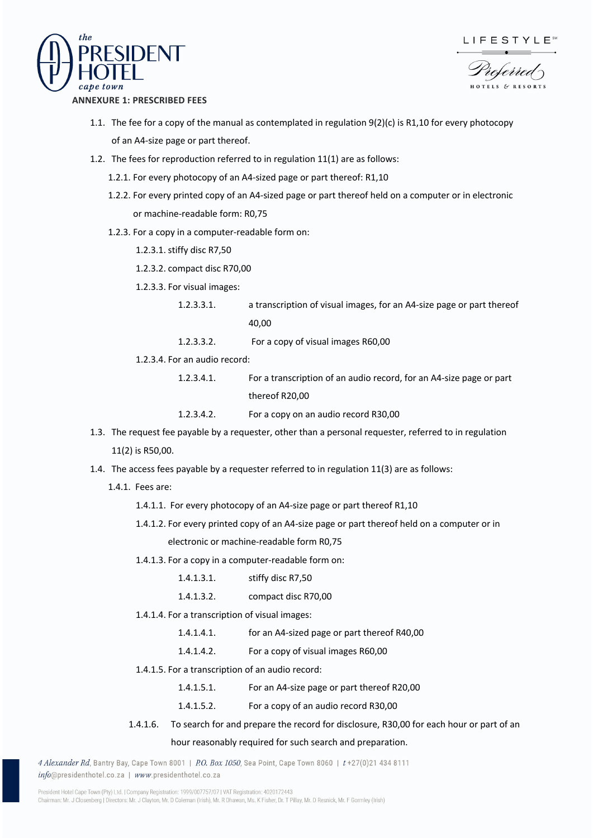

$$
\mathsf{LIFESTYLE}^*
$$

referred

#### **ANNEXURE 1: PRESCRIBED FEES**

- 1.1. The fee for a copy of the manual as contemplated in regulation 9(2)(c) is R1,10 for every photocopy of an A4-size page or part thereof.
- 1.2. The fees for reproduction referred to in regulation 11(1) are as follows:
	- 1.2.1. For every photocopy of an A4-sized page or part thereof: R1,10
	- 1.2.2. For every printed copy of an A4-sized page or part thereof held on a computer or in electronic or machine-readable form: R0,75
	- 1.2.3. For a copy in a computer-readable form on:
		- 1.2.3.1. stiffy disc R7,50
		- 1.2.3.2. compact disc R70,00
		- 1.2.3.3. For visual images:
			- 1.2.3.3.1. a transcription of visual images, for an A4-size page or part thereof 40,00
			- 1.2.3.3.2. For a copy of visual images R60,00
		- 1.2.3.4. For an audio record:
			- 1.2.3.4.1. For a transcription of an audio record, for an A4-size page or part thereof R20,00
			- 1.2.3.4.2. For a copy on an audio record R30,00
- 1.3. The request fee payable by a requester, other than a personal requester, referred to in regulation 11(2) is R50,00.
- 1.4. The access fees payable by a requester referred to in regulation 11(3) are as follows:
	- 1.4.1. Fees are:
		- 1.4.1.1. For every photocopy of an A4-size page or part thereof R1,10
		- 1.4.1.2. For every printed copy of an A4-size page or part thereof held on a computer or in

electronic or machine-readable form R0,75

- 1.4.1.3. For a copy in a computer-readable form on:
	- 1.4.1.3.1. stiffy disc R7,50
	- 1.4.1.3.2. compact disc R70,00
- 1.4.1.4. For a transcription of visual images:
	- 1.4.1.4.1. for an A4-sized page or part thereof R40,00
	- 1.4.1.4.2. For a copy of visual images R60,00
- 1.4.1.5. For a transcription of an audio record:
	- 1.4.1.5.1. For an A4-size page or part thereof R20,00
	- 1.4.1.5.2. For a copy of an audio record R30,00
- 1.4.1.6. To search for and prepare the record for disclosure, R30,00 for each hour or part of an

#### hour reasonably required for such search and preparation.

4 Alexander Rd, Bantry Bay, Cape Town 8001 | P.O. Box 1050, Sea Point, Cape Town 8060 | t+27(0)21 434 8111 info@presidenthotel.co.za | www.presidenthotel.co.za